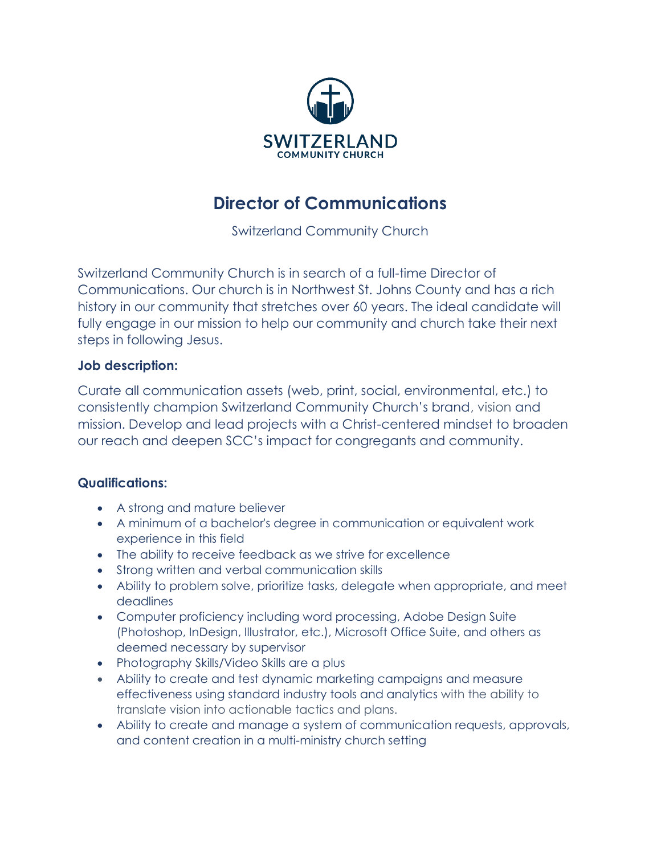

# **Director of Communications**

Switzerland Community Church

Switzerland Community Church is in search of a full-time Director of Communications. Our church is in Northwest St. Johns County and has a rich history in our community that stretches over 60 years. The ideal candidate will fully engage in our mission to help our community and church take their next steps in following Jesus.

## **Job description:**

Curate all communication assets (web, print, social, environmental, etc.) to consistently champion Switzerland Community Church's brand, vision and mission. Develop and lead projects with a Christ-centered mindset to broaden our reach and deepen SCC's impact for congregants and community.

## **Qualifications:**

- A strong and mature believer
- A minimum of a bachelor's degree in communication or equivalent work experience in this field
- The ability to receive feedback as we strive for excellence
- Strong written and verbal communication skills
- Ability to problem solve, prioritize tasks, delegate when appropriate, and meet deadlines
- Computer proficiency including word processing, Adobe Design Suite (Photoshop, InDesign, Illustrator, etc.), Microsoft Office Suite, and others as deemed necessary by supervisor
- Photography Skills/Video Skills are a plus
- Ability to create and test dynamic marketing campaigns and measure effectiveness using standard industry tools and analytics with the ability to translate vision into actionable tactics and plans.
- Ability to create and manage a system of communication requests, approvals, and content creation in a multi-ministry church setting